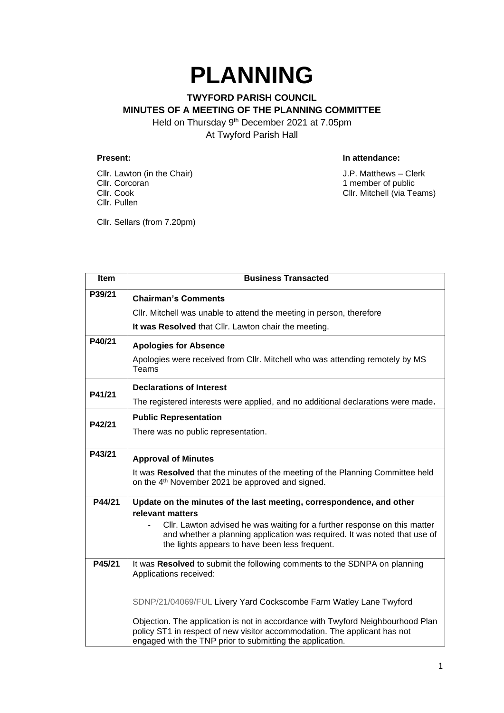## **PLANNING**

## **TWYFORD PARISH COUNCIL MINUTES OF A MEETING OF THE PLANNING COMMITTEE** Held on Thursday 9<sup>th</sup> December 2021 at 7.05pm

At Twyford Parish Hall

Cllr. Lawton (in the Chair) Same Clerk Cllr. Correction of the Chair Clerk Cllr. Correction of the Chair Clerk Cllr. Correction of the Chair Clerk Cllr. Correction of the Chair Clerk Cllr. Correction of the Chair Clerk Cll Cllr. Cook Cllr. Mitchell (via Teams) Cllr. Pullen

## **Present: In attendance:**

1 member of public

Cllr. Sellars (from 7.20pm)

| <b>Item</b> | <b>Business Transacted</b>                                                                                                                                                                                                |
|-------------|---------------------------------------------------------------------------------------------------------------------------------------------------------------------------------------------------------------------------|
| P39/21      | <b>Chairman's Comments</b>                                                                                                                                                                                                |
|             | Cllr. Mitchell was unable to attend the meeting in person, therefore                                                                                                                                                      |
|             | It was Resolved that Cllr. Lawton chair the meeting.                                                                                                                                                                      |
| P40/21      | <b>Apologies for Absence</b>                                                                                                                                                                                              |
|             | Apologies were received from Cllr. Mitchell who was attending remotely by MS<br>Teams                                                                                                                                     |
| P41/21      | <b>Declarations of Interest</b>                                                                                                                                                                                           |
|             | The registered interests were applied, and no additional declarations were made.                                                                                                                                          |
| P42/21      | <b>Public Representation</b>                                                                                                                                                                                              |
|             | There was no public representation.                                                                                                                                                                                       |
| P43/21      | <b>Approval of Minutes</b>                                                                                                                                                                                                |
|             | It was Resolved that the minutes of the meeting of the Planning Committee held<br>on the 4 <sup>th</sup> November 2021 be approved and signed.                                                                            |
| P44/21      | Update on the minutes of the last meeting, correspondence, and other                                                                                                                                                      |
|             | relevant matters<br>Cllr. Lawton advised he was waiting for a further response on this matter                                                                                                                             |
|             | and whether a planning application was required. It was noted that use of<br>the lights appears to have been less frequent.                                                                                               |
| P45/21      | It was Resolved to submit the following comments to the SDNPA on planning<br>Applications received:                                                                                                                       |
|             |                                                                                                                                                                                                                           |
|             | SDNP/21/04069/FUL Livery Yard Cockscombe Farm Watley Lane Twyford                                                                                                                                                         |
|             | Objection. The application is not in accordance with Twyford Neighbourhood Plan<br>policy ST1 in respect of new visitor accommodation. The applicant has not<br>engaged with the TNP prior to submitting the application. |